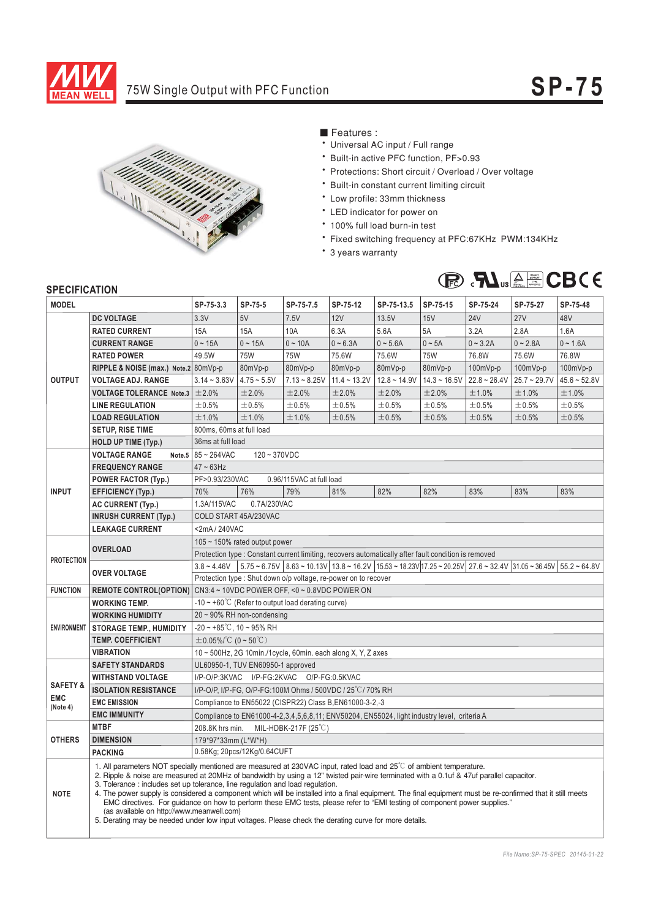

## 75W Single Output with PFC Function



■ Features :

- Universal AC input / Full range
- \* Built-in active PFC function, PF>0.93
- \* Protections: Short circuit / Overload / Over voltage
- \* Built-in constant current limiting circuit
- \* Low profile: 33mm thickness
- \* LED indicator for power on
- 100% full load burn-in test
- \* Fixed switching frequency at PFC:67KHz PWM:134KHz
- \* 3 years warranty



## **SPECIFICATION**

| <b>MODEL</b>                                  |                                                                                                                                                                                                                                                                                                                                                                                                                                                                                                                                                                                                                                                                                                                                                                                                                  | SP-75-3.3                                                                                                                               | SP-75-5                     | SP-75-7.5      | SP-75-12       | SP-75-13.5     | SP-75-15       | SP-75-24       | SP-75-27       | SP-75-48       |
|-----------------------------------------------|------------------------------------------------------------------------------------------------------------------------------------------------------------------------------------------------------------------------------------------------------------------------------------------------------------------------------------------------------------------------------------------------------------------------------------------------------------------------------------------------------------------------------------------------------------------------------------------------------------------------------------------------------------------------------------------------------------------------------------------------------------------------------------------------------------------|-----------------------------------------------------------------------------------------------------------------------------------------|-----------------------------|----------------|----------------|----------------|----------------|----------------|----------------|----------------|
|                                               | <b>DC VOLTAGE</b>                                                                                                                                                                                                                                                                                                                                                                                                                                                                                                                                                                                                                                                                                                                                                                                                | 3.3V                                                                                                                                    | 5V                          | 7.5V           | 12V            | 13.5V          | 15V            | <b>24V</b>     | <b>27V</b>     | 48V            |
| <b>OUTPUT</b>                                 | <b>RATED CURRENT</b>                                                                                                                                                                                                                                                                                                                                                                                                                                                                                                                                                                                                                                                                                                                                                                                             | 15A                                                                                                                                     | <b>15A</b>                  | 10A            | 6.3A           | 5.6A           | 5A             | 3.2A           | 2.8A           | 1.6A           |
|                                               | <b>CURRENT RANGE</b>                                                                                                                                                                                                                                                                                                                                                                                                                                                                                                                                                                                                                                                                                                                                                                                             | $0 - 15A$                                                                                                                               | $0 \sim 15A$                | $0 - 10A$      | $0 - 6.3A$     | $0 - 5.6A$     | $0 \sim 5A$    | $0 - 3.2A$     | $0 - 2.8A$     | $0 - 1.6A$     |
|                                               | <b>RATED POWER</b>                                                                                                                                                                                                                                                                                                                                                                                                                                                                                                                                                                                                                                                                                                                                                                                               | 49.5W                                                                                                                                   | <b>75W</b>                  | <b>75W</b>     | 75.6W          | 75.6W          | <b>75W</b>     | 76.8W          | 75.6W          | 76.8W          |
|                                               | RIPPLE & NOISE (max.) Note.2 80mVp-p                                                                                                                                                                                                                                                                                                                                                                                                                                                                                                                                                                                                                                                                                                                                                                             |                                                                                                                                         | 80mVp-p                     | 80mVp-p        | 80mVp-p        | 80mVp-p        | 80mVp-p        | $100mVp-p$     | $100mVp-p$     | $100mVp-p$     |
|                                               | <b>VOLTAGE ADJ. RANGE</b>                                                                                                                                                                                                                                                                                                                                                                                                                                                                                                                                                                                                                                                                                                                                                                                        | $3.14 - 3.63V$                                                                                                                          | $4.75 - 5.5V$               | $7.13 - 8.25V$ | $11.4 - 13.2V$ | $12.8 - 14.9V$ | $14.3 - 16.5V$ | $22.8 - 26.4V$ | $25.7 - 29.7V$ | $45.6 - 52.8V$ |
|                                               | <b>VOLTAGE TOLERANCE Note.3</b>                                                                                                                                                                                                                                                                                                                                                                                                                                                                                                                                                                                                                                                                                                                                                                                  | ±2.0%                                                                                                                                   | ±2.0%                       | ±2.0%          | ±2.0%          | ±2.0%          | ±2.0%          | ±1.0%          | ±1.0%          | ±1.0%          |
|                                               | <b>LINE REGULATION</b>                                                                                                                                                                                                                                                                                                                                                                                                                                                                                                                                                                                                                                                                                                                                                                                           | $\pm 0.5\%$                                                                                                                             | ±0.5%                       | ±0.5%          | ±0.5%          | ±0.5%          | ±0.5%          | ±0.5%          | ±0.5%          | ±0.5%          |
|                                               | <b>LOAD REGULATION</b>                                                                                                                                                                                                                                                                                                                                                                                                                                                                                                                                                                                                                                                                                                                                                                                           | ±1.0%                                                                                                                                   | ±1.0%                       | ±1.0%          | ±0.5%          | ±0.5%          | ±0.5%          | ±0.5%          | ±0.5%          | ±0.5%          |
|                                               | <b>SETUP, RISE TIME</b>                                                                                                                                                                                                                                                                                                                                                                                                                                                                                                                                                                                                                                                                                                                                                                                          | 800ms, 60ms at full load                                                                                                                |                             |                |                |                |                |                |                |                |
|                                               | <b>HOLD UP TIME (Typ.)</b>                                                                                                                                                                                                                                                                                                                                                                                                                                                                                                                                                                                                                                                                                                                                                                                       | 36ms at full load                                                                                                                       |                             |                |                |                |                |                |                |                |
|                                               | <b>VOLTAGE RANGE</b>                                                                                                                                                                                                                                                                                                                                                                                                                                                                                                                                                                                                                                                                                                                                                                                             | Note.5 85~264VAC<br>$120 - 370VDC$                                                                                                      |                             |                |                |                |                |                |                |                |
| <b>INPUT</b>                                  | <b>FREQUENCY RANGE</b>                                                                                                                                                                                                                                                                                                                                                                                                                                                                                                                                                                                                                                                                                                                                                                                           | $47 \sim 63$ Hz                                                                                                                         |                             |                |                |                |                |                |                |                |
|                                               | <b>POWER FACTOR (Typ.)</b>                                                                                                                                                                                                                                                                                                                                                                                                                                                                                                                                                                                                                                                                                                                                                                                       | PF>0.93/230VAC<br>0.96/115VAC at full load                                                                                              |                             |                |                |                |                |                |                |                |
|                                               | <b>EFFICIENCY (Typ.)</b>                                                                                                                                                                                                                                                                                                                                                                                                                                                                                                                                                                                                                                                                                                                                                                                         | 70%                                                                                                                                     | 76%                         | 79%            | 81%            | 82%            | 82%            | 83%            | 83%            | 83%            |
|                                               | <b>AC CURRENT (Typ.)</b>                                                                                                                                                                                                                                                                                                                                                                                                                                                                                                                                                                                                                                                                                                                                                                                         | 1.3A/115VAC<br>0.7A/230VAC                                                                                                              |                             |                |                |                |                |                |                |                |
|                                               | <b>INRUSH CURRENT (Typ.)</b>                                                                                                                                                                                                                                                                                                                                                                                                                                                                                                                                                                                                                                                                                                                                                                                     | COLD START 45A/230VAC                                                                                                                   |                             |                |                |                |                |                |                |                |
|                                               | <b>LEAKAGE CURRENT</b>                                                                                                                                                                                                                                                                                                                                                                                                                                                                                                                                                                                                                                                                                                                                                                                           | <2mA/240VAC                                                                                                                             |                             |                |                |                |                |                |                |                |
| <b>PROTECTION</b>                             | <b>OVERLOAD</b>                                                                                                                                                                                                                                                                                                                                                                                                                                                                                                                                                                                                                                                                                                                                                                                                  | 105 ~ 150% rated output power                                                                                                           |                             |                |                |                |                |                |                |                |
|                                               |                                                                                                                                                                                                                                                                                                                                                                                                                                                                                                                                                                                                                                                                                                                                                                                                                  | Protection type : Constant current limiting, recovers automatically after fault condition is removed                                    |                             |                |                |                |                |                |                |                |
|                                               |                                                                                                                                                                                                                                                                                                                                                                                                                                                                                                                                                                                                                                                                                                                                                                                                                  | $15.75 \times 6.75V$ 8.63 ~ 10.13V 13.8 ~ 16.2V 15.53 ~ 18.23V 17.25 ~ 20.25V 27.6 ~ 32.4V 31.05 ~ 36.45V 55.2 ~ 64.8V<br>$3.8 - 4.46V$ |                             |                |                |                |                |                |                |                |
|                                               | <b>OVER VOLTAGE</b>                                                                                                                                                                                                                                                                                                                                                                                                                                                                                                                                                                                                                                                                                                                                                                                              | Protection type : Shut down o/p voltage, re-power on to recover                                                                         |                             |                |                |                |                |                |                |                |
| <b>FUNCTION</b>                               | <b>REMOTE CONTROL(OPTION)</b>                                                                                                                                                                                                                                                                                                                                                                                                                                                                                                                                                                                                                                                                                                                                                                                    | CN3:4 ~ 10VDC POWER OFF, <0 ~ 0.8VDC POWER ON                                                                                           |                             |                |                |                |                |                |                |                |
| <b>ENVIRONMENT</b>                            | <b>WORKING TEMP.</b>                                                                                                                                                                                                                                                                                                                                                                                                                                                                                                                                                                                                                                                                                                                                                                                             | $-10 \sim +60^{\circ}$ (Refer to output load derating curve)                                                                            |                             |                |                |                |                |                |                |                |
|                                               | <b>WORKING HUMIDITY</b>                                                                                                                                                                                                                                                                                                                                                                                                                                                                                                                                                                                                                                                                                                                                                                                          | 20~90% RH non-condensing                                                                                                                |                             |                |                |                |                |                |                |                |
|                                               | <b>STORAGE TEMP., HUMIDITY</b>                                                                                                                                                                                                                                                                                                                                                                                                                                                                                                                                                                                                                                                                                                                                                                                   | $-20 \sim +85^{\circ}$ C, 10 ~ 95% RH                                                                                                   |                             |                |                |                |                |                |                |                |
|                                               | <b>TEMP. COEFFICIENT</b>                                                                                                                                                                                                                                                                                                                                                                                                                                                                                                                                                                                                                                                                                                                                                                                         | $\pm$ 0.05%/°C (0~50°C)                                                                                                                 |                             |                |                |                |                |                |                |                |
|                                               | <b>VIBRATION</b>                                                                                                                                                                                                                                                                                                                                                                                                                                                                                                                                                                                                                                                                                                                                                                                                 | 10 ~ 500Hz, 2G 10min./1cycle, 60min. each along X, Y, Z axes                                                                            |                             |                |                |                |                |                |                |                |
|                                               | <b>SAFETY STANDARDS</b>                                                                                                                                                                                                                                                                                                                                                                                                                                                                                                                                                                                                                                                                                                                                                                                          | UL60950-1, TUV EN60950-1 approved                                                                                                       |                             |                |                |                |                |                |                |                |
| <b>SAFETY &amp;</b><br><b>EMC</b><br>(Note 4) | <b>WITHSTAND VOLTAGE</b>                                                                                                                                                                                                                                                                                                                                                                                                                                                                                                                                                                                                                                                                                                                                                                                         | I/P-O/P:3KVAC I/P-FG:2KVAC O/P-FG:0.5KVAC                                                                                               |                             |                |                |                |                |                |                |                |
|                                               | <b>ISOLATION RESISTANCE</b>                                                                                                                                                                                                                                                                                                                                                                                                                                                                                                                                                                                                                                                                                                                                                                                      | I/P-O/P, I/P-FG, O/P-FG:100M Ohms / 500VDC / 25°C/70% RH                                                                                |                             |                |                |                |                |                |                |                |
|                                               | <b>EMC EMISSION</b>                                                                                                                                                                                                                                                                                                                                                                                                                                                                                                                                                                                                                                                                                                                                                                                              | Compliance to EN55022 (CISPR22) Class B, EN61000-3-2,-3                                                                                 |                             |                |                |                |                |                |                |                |
|                                               | <b>EMC IMMUNITY</b>                                                                                                                                                                                                                                                                                                                                                                                                                                                                                                                                                                                                                                                                                                                                                                                              | Compliance to EN61000-4-2,3,4,5,6,8,11; ENV50204, EN55024, light industry level, criteria A                                             |                             |                |                |                |                |                |                |                |
| <b>OTHERS</b>                                 | <b>MTBF</b>                                                                                                                                                                                                                                                                                                                                                                                                                                                                                                                                                                                                                                                                                                                                                                                                      | 208.8K hrs min.<br>MIL-HDBK-217F $(25^{\circ}$ C)                                                                                       |                             |                |                |                |                |                |                |                |
|                                               | <b>DIMENSION</b>                                                                                                                                                                                                                                                                                                                                                                                                                                                                                                                                                                                                                                                                                                                                                                                                 | 179*97*33mm (L*W*H)                                                                                                                     |                             |                |                |                |                |                |                |                |
|                                               | <b>PACKING</b>                                                                                                                                                                                                                                                                                                                                                                                                                                                                                                                                                                                                                                                                                                                                                                                                   |                                                                                                                                         | 0.58Kg; 20pcs/12Kg/0.64CUFT |                |                |                |                |                |                |                |
| <b>NOTE</b>                                   | 1. All parameters NOT specially mentioned are measured at 230VAC input, rated load and 25 <sup>°</sup> C of ambient temperature.<br>2. Ripple & noise are measured at 20MHz of bandwidth by using a 12" twisted pair-wire terminated with a 0.1uf & 47uf parallel capacitor.<br>3. Tolerance : includes set up tolerance, line regulation and load regulation.<br>4. The power supply is considered a component which will be installed into a final equipment. The final equipment must be re-confirmed that it still meets<br>EMC directives. For quidance on how to perform these EMC tests, please refer to "EMI testing of component power supplies."<br>(as available on http://www.meanwell.com)<br>5. Derating may be needed under low input voltages. Please check the derating curve for more details. |                                                                                                                                         |                             |                |                |                |                |                |                |                |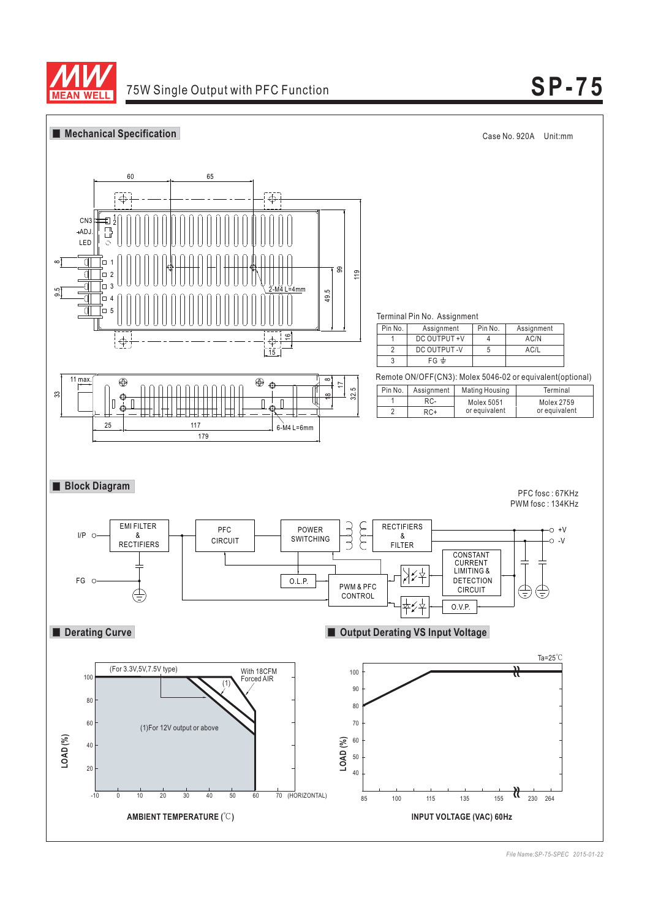

## 75W Single Output with PFC Function **SP-75**